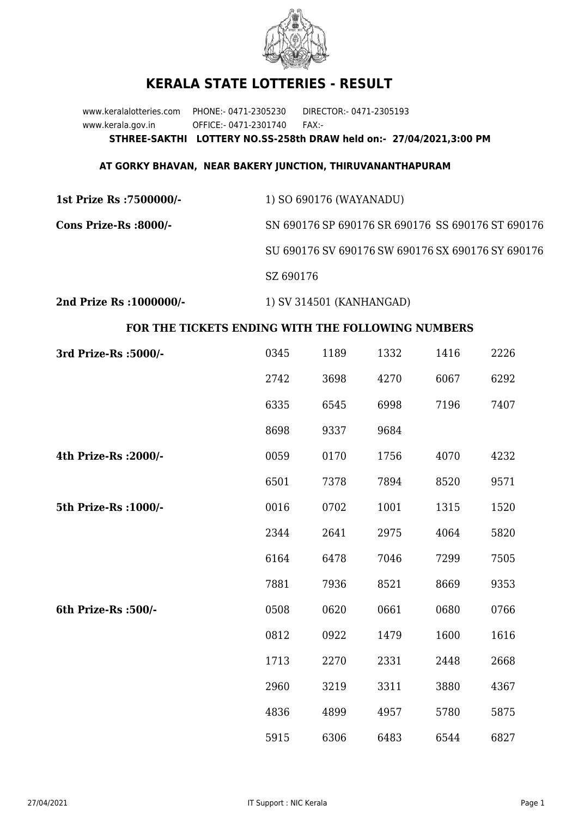

## **KERALA STATE LOTTERIES - RESULT**

www.keralalotteries.com PHONE:- 0471-2305230 DIRECTOR:- 0471-2305193 www.kerala.gov.in OFFICE:- 0471-2301740 FAX:- **STHREE-SAKTHI LOTTERY NO.SS-258th DRAW held on:- 27/04/2021,3:00 PM**

## **AT GORKY BHAVAN, NEAR BAKERY JUNCTION, THIRUVANANTHAPURAM**

| 1st Prize Rs :7500000/- | 1) SO 690176 (WAYANADU)                           |
|-------------------------|---------------------------------------------------|
| Cons Prize-Rs :8000/-   | SN 690176 SP 690176 SR 690176 SS 690176 ST 690176 |
|                         | SU 690176 SV 690176 SW 690176 SX 690176 SY 690176 |
|                         | SZ 690176                                         |
|                         |                                                   |

**2nd Prize Rs :1000000/-** 1) SV 314501 (KANHANGAD)

## **FOR THE TICKETS ENDING WITH THE FOLLOWING NUMBERS**

| 3rd Prize-Rs : 5000/- | 0345 | 1189 | 1332 | 1416 | 2226 |
|-----------------------|------|------|------|------|------|
|                       | 2742 | 3698 | 4270 | 6067 | 6292 |
|                       | 6335 | 6545 | 6998 | 7196 | 7407 |
|                       | 8698 | 9337 | 9684 |      |      |
| 4th Prize-Rs : 2000/- | 0059 | 0170 | 1756 | 4070 | 4232 |
|                       | 6501 | 7378 | 7894 | 8520 | 9571 |
| 5th Prize-Rs : 1000/- | 0016 | 0702 | 1001 | 1315 | 1520 |
|                       | 2344 | 2641 | 2975 | 4064 | 5820 |
|                       | 6164 | 6478 | 7046 | 7299 | 7505 |
|                       | 7881 | 7936 | 8521 | 8669 | 9353 |
| 6th Prize-Rs :500/-   | 0508 | 0620 | 0661 | 0680 | 0766 |
|                       | 0812 | 0922 | 1479 | 1600 | 1616 |
|                       | 1713 | 2270 | 2331 | 2448 | 2668 |
|                       | 2960 | 3219 | 3311 | 3880 | 4367 |
|                       | 4836 | 4899 | 4957 | 5780 | 5875 |
|                       | 5915 | 6306 | 6483 | 6544 | 6827 |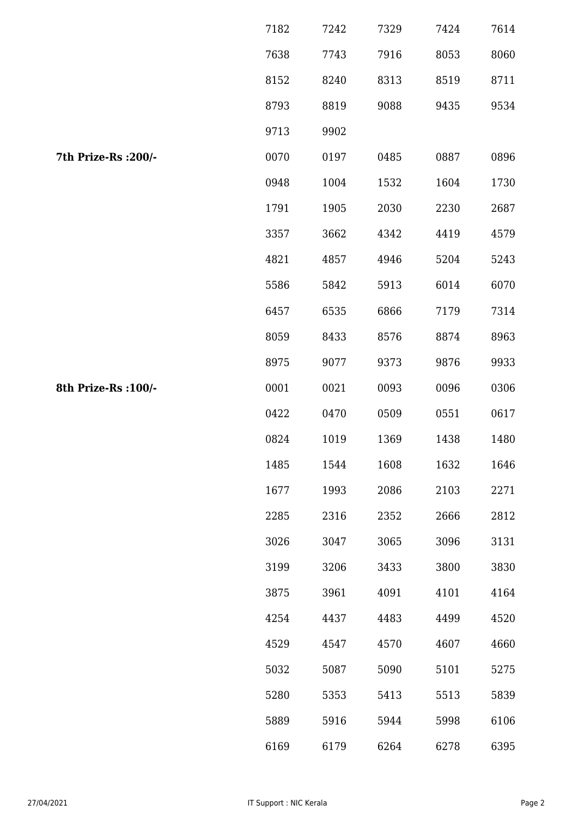|                      | 7182 | 7242 | 7329 | 7424 | 7614 |
|----------------------|------|------|------|------|------|
|                      | 7638 | 7743 | 7916 | 8053 | 8060 |
|                      | 8152 | 8240 | 8313 | 8519 | 8711 |
|                      | 8793 | 8819 | 9088 | 9435 | 9534 |
|                      | 9713 | 9902 |      |      |      |
| 7th Prize-Rs : 200/- | 0070 | 0197 | 0485 | 0887 | 0896 |
|                      | 0948 | 1004 | 1532 | 1604 | 1730 |
|                      | 1791 | 1905 | 2030 | 2230 | 2687 |
|                      | 3357 | 3662 | 4342 | 4419 | 4579 |
|                      | 4821 | 4857 | 4946 | 5204 | 5243 |
|                      | 5586 | 5842 | 5913 | 6014 | 6070 |
|                      | 6457 | 6535 | 6866 | 7179 | 7314 |
|                      | 8059 | 8433 | 8576 | 8874 | 8963 |
|                      | 8975 | 9077 | 9373 | 9876 | 9933 |
| 8th Prize-Rs : 100/- | 0001 | 0021 | 0093 | 0096 | 0306 |
|                      | 0422 | 0470 | 0509 | 0551 | 0617 |
|                      | 0824 | 1019 | 1369 | 1438 | 1480 |
|                      | 1485 | 1544 | 1608 | 1632 | 1646 |
|                      | 1677 | 1993 | 2086 | 2103 | 2271 |
|                      | 2285 | 2316 | 2352 | 2666 | 2812 |
|                      | 3026 | 3047 | 3065 | 3096 | 3131 |
|                      | 3199 | 3206 | 3433 | 3800 | 3830 |
|                      | 3875 | 3961 | 4091 | 4101 | 4164 |
|                      | 4254 | 4437 | 4483 | 4499 | 4520 |
|                      | 4529 | 4547 | 4570 | 4607 | 4660 |
|                      | 5032 | 5087 | 5090 | 5101 | 5275 |
|                      | 5280 | 5353 | 5413 | 5513 | 5839 |
|                      | 5889 | 5916 | 5944 | 5998 | 6106 |
|                      | 6169 | 6179 | 6264 | 6278 | 6395 |